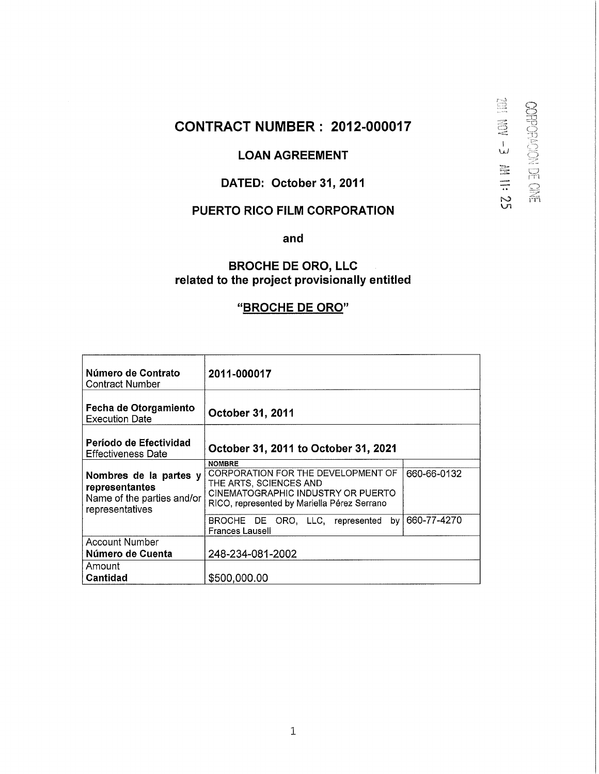# **CONTRACT NUMBER : 2012-000017**

# **LOAN AGREEMENT**

**101 +3 Ⅲ III 25** 

CORPORACION DE CINE

### **DATED: October 31, 2011**

# **PUERTO RICO FILM CORPORATION**

**and** 

### **BROCHE DE ORO, LLC related to the project provisionally entitled**

# **"BROCHE DE ORO"**

| Número de Contrato<br>Contract Number                                                     | 2011-000017                                                                                                                                                        |             |
|-------------------------------------------------------------------------------------------|--------------------------------------------------------------------------------------------------------------------------------------------------------------------|-------------|
| Fecha de Otorgamiento<br><b>Execution Date</b>                                            | October 31, 2011                                                                                                                                                   |             |
| Período de Efectividad<br><b>Effectiveness Date</b>                                       | October 31, 2011 to October 31, 2021                                                                                                                               |             |
| Nombres de la partes y<br>representantes<br>Name of the parties and/or<br>representatives | <b>NOMBRE</b><br>CORPORATION FOR THE DEVELOPMENT OF<br>THE ARTS, SCIENCES AND<br>CINEMATOGRAPHIC INDUSTRY OR PUERTO<br>RICO, represented by Mariella Pérez Serrano | 660-66-0132 |
|                                                                                           | BROCHE DE ORO, LLC, represented<br>bv l<br><b>Frances Lausell</b>                                                                                                  | 660-77-4270 |
| Account Number<br>Número de Cuenta                                                        | 248-234-081-2002                                                                                                                                                   |             |
| Amount<br>Cantidad                                                                        | \$500,000.00                                                                                                                                                       |             |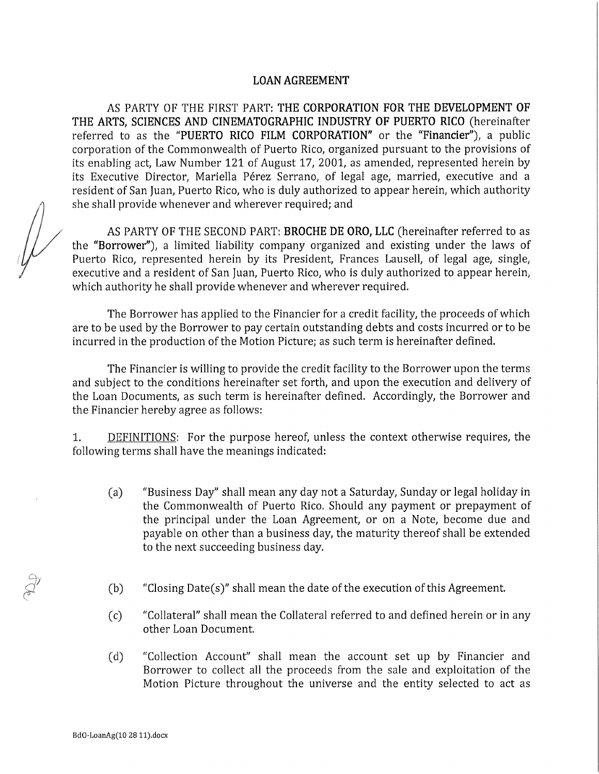### LOANAGREEMENT

AS PARTY OF THE FIRST PART: THE CORPORATION FOR THE DEVELOPMENT OF THE ARTS, SCIENCES AND CINEMATOGRAPHIC INDUSTRY OF PUERTO RICO (hereinafter referred to as the "PUERTO RICO FILM CORPORATION" or the "Financier"), a public corporation of the Commonwealth of Puerto Rico, organized pursuant to the provisions of its enabling act, Law Number 121 of August 17, 2001, as amended, represented herein by its Executive Director, Mariella Pérez Serrano, of legal age, married, executive and a resident of San Juan, Puerto Rico, who is duly authorized to appear herein, which authority she shall provide whenever and wherever required; and

AS PARTY OF THE SECOND PART: BROCHE DE ORO, LLC (hereinafter referred to as the "Borrower"), a limited liability company organized and existing under the laws of Puerto Rico, represented herein by its President, Frances Lausell, of legal age, single, executive and a resident of San Juan, Puerto Rico, who is duly authorized to appear herein, which authority he shall provide whenever and wherever required.

The Borrower has applied to the Financier for a credit facility, the proceeds of which are to be used by the Borrower to pay certain outstanding debts and costs incurred or to be incurred in the production of the Motion Picture; as such term is hereinafter defined.

The Financier is willing to provide the credit facility to the Borrower upon the terms and subject to the conditions hereinafter set forth, and upon the execution and delivery of the Loan Documents, as such term is hereinafter defined. Accordingly, the Borrower and the Financier hereby agree as follows:

1. DEFINITIONS: For the purpose hereof, unless the context otherwise requires, the following terms shall have the meanings indicated:

- (a) "Business Day" shall mean any day not a Saturday, Sunday or legal holiday in the Commonwealth of Puerto Rico. Should any payment or prepayment of the principal under the Loan Agreement, or on a Note, become due and payable on other than a business day, the maturity thereof shall be extended to the next succeeding business day.
- (b) "Closing Date(s)" shall mean the date of the execution of this Agreement.
- (c) "Collateral" shall mean the Collateral referred to and defined herein or in any other Loan Document.
- (d) "Collection Account" shall mean the account set up by Financier and Borrower to collect all the proceeds from the sale and exploitation of the Motion Picture throughout the universe and the entity selected to act as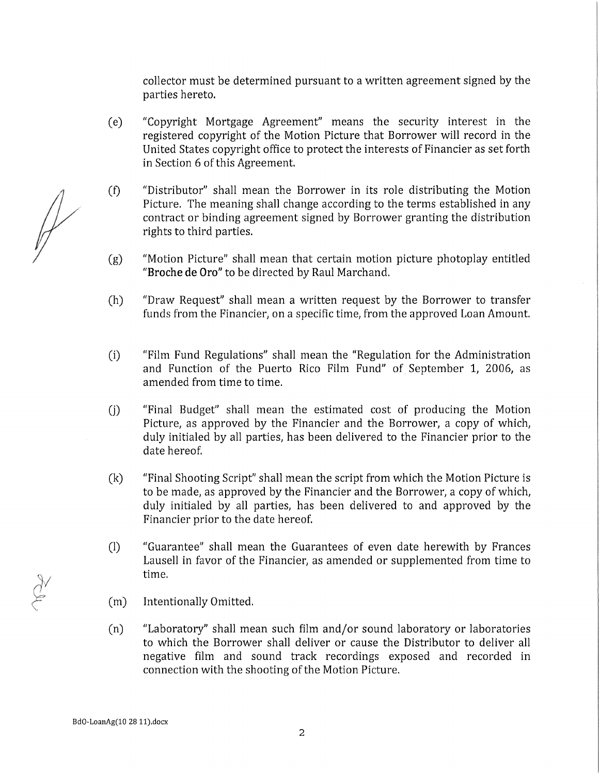collector must be determined pursuant to a written agreement signed by the parties hereto.

- (e) "Copyright Mortgage Agreement" means the security interest in the registered copyright of the Motion Picture that Borrower will record in the United States copyright office to protect the interests of Financier as set forth in Section 6 of this Agreement.
- (f) "Distributor" shall mean the Borrower in its role distributing the Motion Picture. The meaning shall change according to the terms established in any contract or binding agreement signed by Borrower granting the distribution rights to third parties.
- (g) "Motion Picture" shall mean that certain motion picture photoplay entitled "Broche de Oro" to be directed by Raul Marchand.
- (h) "Draw Request" shall mean a written request by the Borrower to transfer funds from the Financier, on a specific time, from the approved Loan Amount.
- (i) "Film Fund Regulations" shall mean the "Regulation for the Administration and Function of the Puerto Rico Film Fund" of September 1, 2006, as amended from time to time.
- (j) "Final Budget" shall mean the estimated cost of producing the Motion Picture, as approved by the Financier and the Borrower, a copy of which, duly initialed by all parties, has been delivered to the Financier prior to the date hereof.
- (k) "Final Shooting Script" shall mean the script from which the Motion Picture is to be made, as approved by the Financier and the Borrower, a copy of which, duly initialed by all parties, has been delivered to and approved by the Financier prior to the date hereof.
- (1) "Guarantee" shall mean the Guarantees of even date herewith by Francés Lausell in favor of the Financier, as amended or supplemented from time to time.
- (m) Intentionally Omitted.
- (n) "Laboratory" shall mean such film and/or sound laboratory or laboratories to which the Borrower shall deliver or cause the Distributor to deliver all negative film and sound track recordings exposed and recorded in connection with the shooting of the Motion Picture.

 $\mathbb{P}$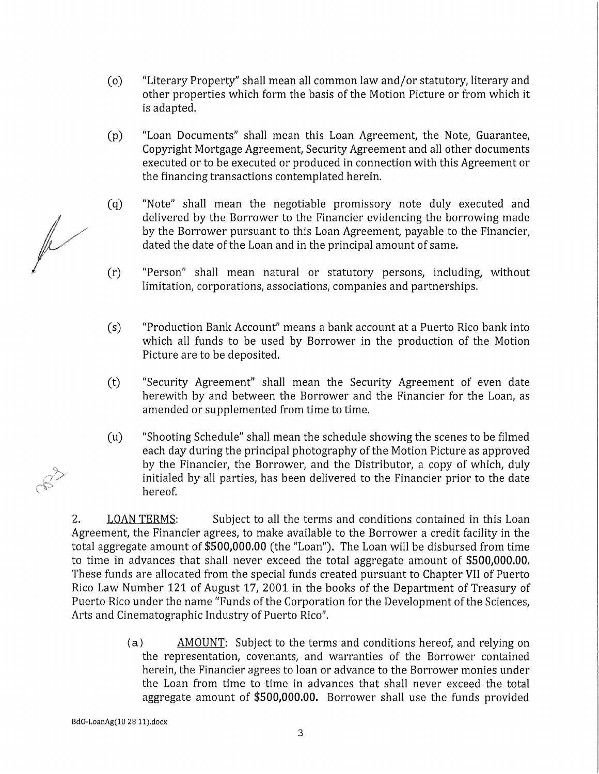- (o) "Literary Property" shall mean all common law and/or statutory, literary and other properties which form the basis of the Motion Picture or from which it is adapted.
- (p) "Loan Documents" shall mean this Loan Agreement, the Note, Guarantee, Copyright Mortgage Agreement, Security Agreement and all other documents executed or to be executed or produced in connection with this Agreement or the financing transactions contemplated herein.
- (q) "Note" shall mean the negotiable promissory note duly executed and delivered by the Borrower to the Financier evidencing the borrowing made where the Borrower to the Financier evidencing the borrowing made<br>by the Borrower pursuant to this Loan Agreement, payable to the Financier,<br>dated the date of the Loan and in the principal amount of *2* dated the date of the Loan and in the principal amount of same.
	- (r) "Person" shall mean natural or statutory persons, including, without limitation, corporations, associations, companies and partnerships.
	- (s) "Production Bank Account" means a bank account at a Puerto Rico bank into which all funds to be used by Borrower in the production of the Motion Picture are to be deposited.
	- (t) "Security Agreement" shall mean the Security Agreement of even date herewith by and between the Borrower and the Financier for the Loan, as amended or supplemented from time to time.
	- (u) "Shooting Schedule" shall mean the schedule showing the scenes to be filmed each day during the principal photography of the Motion Picture as approved by the Financier, the Borrower, and the Distributor, a copy of which, duly initialed by all parties, has been delivered to the Financier prior to the date hereof.

2. LOAN TERMS: Subject to all the terms and conditions contained in this Loan Agreement, the Financier agrees, to make available to the Borrower a credit facility in the total aggregate amount of \$500,000.00 (the "Loan"). The Loan will be disbursed from time to time in advances that shall never exceed the total aggregate amount of \$500,000.00. These funds are allocated from the special funds created pursuant to Chapter VII of Puerto Rico Law Number 121 of August 17, 2001 in the books of the Department of Treasury of Puerto Rico under the name "Funds of the Corporation for the Development of the Sciences, Arts and Cinematographic Industry of Puerto Rico".

> (a) AMOUNT: Subject to the terms and conditions hereof, and relying on the representation, covenants, and warranties of the Borrower contained herein, the Financier agrees to loan or advance to the Borrower monies under the Loan from time to time in advances that shall never exceed the total aggregate amount of \$500,000.00. Borrower shall use the funds provided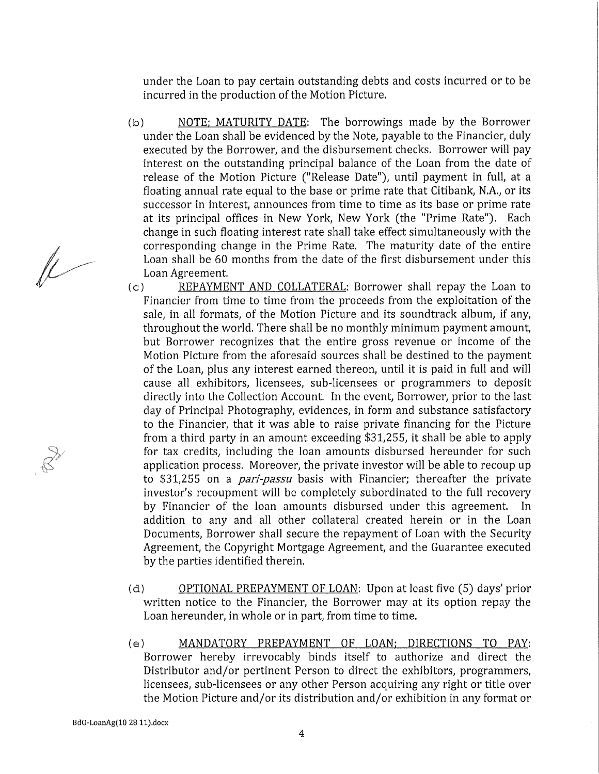under the Loan to pay certain outstanding debts and costs incurred or to be incurred in the production of the Motion Picture.

- (b) NOTE: MATURITY DATE: The borrowings made by the Borrower under the Loan shall be evidenced by the Note, payable to the Financier, duly executed by the Borrower, and the disbursement checks. Borrower will pay interest on the outstanding principal balance of the Loan from the date of release of the Motion Picture ("Release Date"), until payment in full, at a floating annual rate equal to the base or prime rate that Citibank, N.A., or its successor in interest, announces from time to time as its base or prime rate at its principal offices in New York, New York (the "Prime Rate"). Each change in such floating interest rate shall take effect simultaneously with the corresponding change in the Prime Rate. The maturity date of the entire Loan shall be 60 months from the date of the first disbursement under this Loan Agreement.
- (c) REPAYMENT AND COLLATERAL: Borrower shall repay the Loan to Financier from time to time from the proceeds from the exploitation of the sale, in all formats, of the Motion Picture and its soundtrack álbum, if any, throughout the world. There shall be no monthly mínimum payment amount, but Borrower recognizes that the entire gross revenue or income of the Motion Picture from the aforesaid sources shall be destined to the payment of the Loan, plus any interest earned thereon, until it is paid in full and will cause all exhibitors, licensees, sub-licensees or programmers to deposit directly into the Collection Account. In the event, Borrower, prior to the last day of Principal Photography, evidences, in form and substance satisfactory to the Financier, that it was able to raise private financing for the Picture from a third party in an amount exceeding \$31,255, it shall be able to apply for tax credits, including the loan amounts disbursed hereunder for such application process. Moreover, the prívate investor will be able to recoup up to \$31,255 on a *parí-passu* basis with Financier; thereafter the prívate investor's recoupment will be completely subordinated to the full recovery by Financier of the loan amounts disbursed under this agreement. In addition to any and all other collateral created herein or in the Loan Documents, Borrower shall secure the repayment of Loan with the Security Agreement, the Copyright Mortgage Agreement, and the Guarantee executed by the parties identified therein.
- (d) OPTIONAL PREPAYMENT OF LOAN: Upon at least five (5) days' prior written notice to the Financier, the Borrower may at its option repay the Loan hereunder, in whole or in part, from time to time.
- (e) MANDATORY PREPAYMENT OF LOAN: DIRECTIONS TO PAY: Borrower hereby irrevocably binds itself to authorize and direct the Distributor and/or pertinent Person to direct the exhibitors, programmers, licensees, sub-licensees or any other Person acquiring any right or title over the Motion Picture and/or its distribution and/or exhibition in any format or

 $\mu$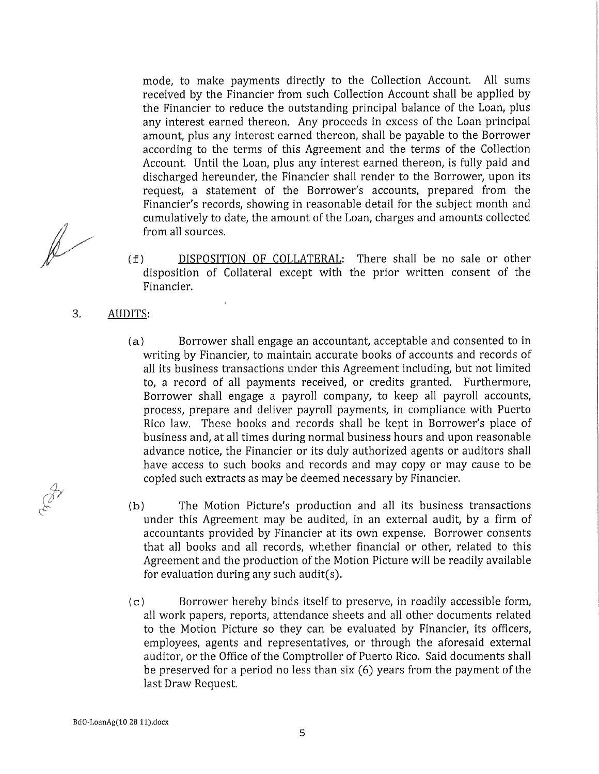mode, to make payments directly to the Collection Account. All sums received by the Financier from such Collection Account shall be applied by the Financier to reduce the outstanding principal balance of the Loan, plus any interest earned thereon, Any proceeds in excess of the Loan principal amount, plus any interest earned thereon, shall be payable to the Borrower according to the terms of this Agreement and the terms of the Collection Account. Until the Loan, plus any interest earned thereon, is fully paid and discharged hereunder, the Financier shall render to the Borrower, upon its request, a statement of the Borrower's accounts, prepared from the Financier's records, showing in reasonable detail for the subject month and cumulatively to date, the amount of the Loan, charges and amounts collected from all sources.

- (f) DISPOSITION OF COLLATERAL: There shall be no sale or other disposition of Collateral except with the prior written consent of the Financier.
- 3. AUDITS:
	- (a) Borrower shall engage an accountant, acceptable and consented to in writing by Financier, to maintain accurate books of accounts and records of all its business transactions under this Agreement including, but not limited to, a record of all payments received, or credits granted. Furthermore, Borrower shall engage a payroll company, to keep all payroll accounts, process, prepare and deliver payroll payments, in compliance with Puerto Rico law, These books and records shall be kept in Borrower's place of business and, at all times during normal business hours and upon reasonable advance notice, the Financier or its duly authorized agents or auditors shall have access to such books and records and may copy or may cause to be copied such extracts as may be deemed necessary by Financier.
	- (b) The Motion Picture's production and all its business transactions under this Agreement may be audited, in an external audit, by a firm of accountants provided by Financier at its own expense. Borrower consents that all books and all records, whether financial or other, related to this Agreement and the production of the Motion Picture will be readily available for evaluation during any such audit(s).
	- (c) Borrower hereby binds itself to preserve, in readily accessible form, all work papers, reports, attendance sheets and all other documents related to the Motion Picture so they can be evaluated by Financier, its officers, employees, agents and representatives, or through the aforesaid external auditor, or the Office of the Comptroller of Puerto Rico. Said documents shall be preserved for a period no less than six (6) years from the payment of the last Draw Request.

 $\mathbb{R}$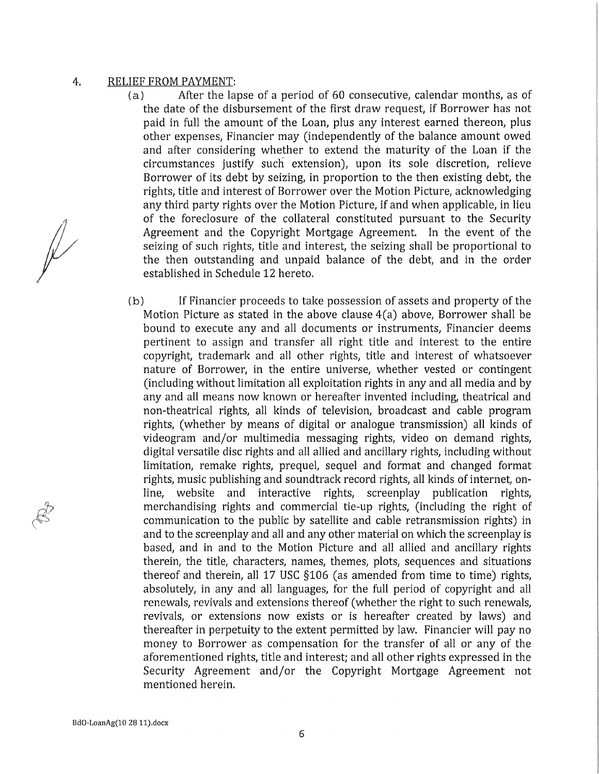#### 4. RELIEF FROM PAYMENT:

- (a) After the lapse of a period of 60 consecutive, calendar months, as of the date of the disbursement of the first draw request, if Borrower has not paid in full the amount of the Loan, plus any interest earned thereon, plus other expenses, Financier may (independently of the balance amount owed and after considering whether to extend the maturity of the Loan if the circumstances justify such extension), upon its sole discretion, relieve Borrower of its debt by seizing, in proportion to the then existing debt, the rights, title and interest of Borrower over the Motion Picture, acknowledging any third party rights over the Motion Picture, if and when applicable, in lieu of the foreclosure of the collateral constituted pursuant to the Security Agreement and the Copyright Mortgage Agreement. In the event of the seizing of such rights, title and interest, the seizing shall be proportional to the then outstanding and unpaid balance of the debt, and in the order established in Schedule 12 hereto.
- (b) If Financier proceeds to take possession of assets and property of the Motion Picture as stated in the above clause 4(a) above, Borrower shall be bound to execute any and all documents or instruments, Financier deems pertinent to assign and transfer all right title and interest to the entire copyright, trademark and all other rights, title and interest of whatsoever nature of Borrower, in the entire universe, whether vested or contingent (including without limitation all exploitation rights in any and all media and by any and all means now known or hereafter invented including, theatrical and non-theatrical rights, all kinds of television, broadcast and cable program rights, (whether by means of digital or analogue transmission) all kinds of videogram and/or multimedia messaging rights, video on demand rights, digital versatile disc rights and all allied and ancillary rights, including without limitation, remake rights, prequel, sequel and format and changed format rights, music publishing and soundtrack record rights, all kinds of internet, online, website and interactive rights, screenplay publication rights, merchandising rights and commercial tie-up rights, (including the right of communication to the public by satellite and cable retransmission rights) in and to the screenplay and all and any other material on which the screenplay is based, and in and to the Motion Picture and all allied and ancillary rights therein, the title, characters, ñames, themes, plots, sequences and situations thereof and therein, all 17 USC §106 (as amended from time to time) rights, absolutely, in any and all languages, for the full period of copyright and all renewals, revivals and extensions thereof (whether the right to such renewals, revivals, or extensions now exists or is hereafter created by laws) and thereafter in perpetuity to the extent permitted by law. Financier will pay no money to Borrower as compensation for the transfer of all or any of the aforementioned rights, title and interest; and all other rights expressed in the Security Agreement and/or the Copyright Mortgage Agreement not mentioned herein.

 $\mathbb{R}$ 

**BdO-LoanAg(10 28 ll).docx**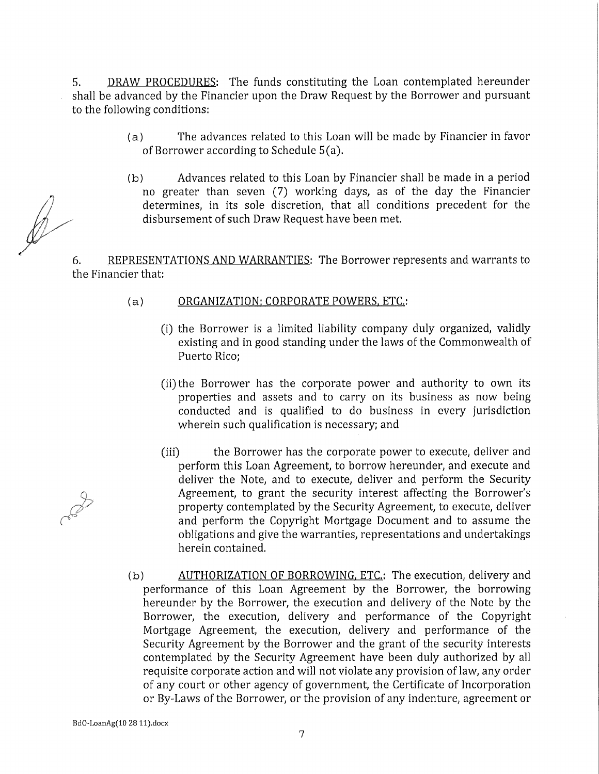5. DRAW PROCEDURES: The funds constituting the Loan contemplated hereunder shall be advanced by the Financier upon the Draw Request by the Borrower and pursuant to the following conditions:

- (a) The advances related to this Loan will be made by Financier in favor of Borrower according to Schedule 5(a).
- (b) Advances related to this Loan by Financier shall be made in a period no greater than seven (7) working days, as of the day the Financier determines, in its solé discretion, that all conditions precedent for the disbursement of such Draw Request have been met.

6. REPRESENTATIONS AND WARRANTIES: The Borrower represents and warrants to the Financier that:

- (a) ORGANIZATION: CORPORATE POWERS, ETC.:
	- (i) the Borrower is a limited liability company duly organized, validly existing and in good standing under the laws of the Commonwealth of Puerto Rico;
	- (ii) the Borrower has the corporate power and authority to own its properties and assets and to carry on its business as now being conducted and is qualified to do business in every jurisdiction wherein such qualification is necessary; and
	- (iii) the Borrower has the corporate power to execute, deliver and perform this Loan Agreement, to borrow hereunder, and execute and deliver the Note, and to execute, deliver and perform the Security Agreement, to grant the security interest affecting the Borrower's property contemplated by the Security Agreement, to execute, deliver and perform the Copyright Mortgage Document and to assume the obligations and give the warranties, representations and undertakings herein contained.
- (b) AUTHORIZATION OF BORROWING. ETC.: The execution, delivery and performance of this Loan Agreement by the Borrower, the borrowing hereunder by the Borrower, the execution and delivery of the Note by the Borrower, the execution, delivery and performance of the Copyright Mortgage Agreement, the execution, delivery and performance of the Security Agreement by the Borrower and the grant of the security interests contemplated by the Security Agreement have been duly authorized by all requisite corporate action and will not violate any provision of law, any order of any court or other agency of government, the Certifícate of Incorporation or By-Laws of the Borrower, or the provision of any indenture, agreement or

7

 $\mathscr{D}$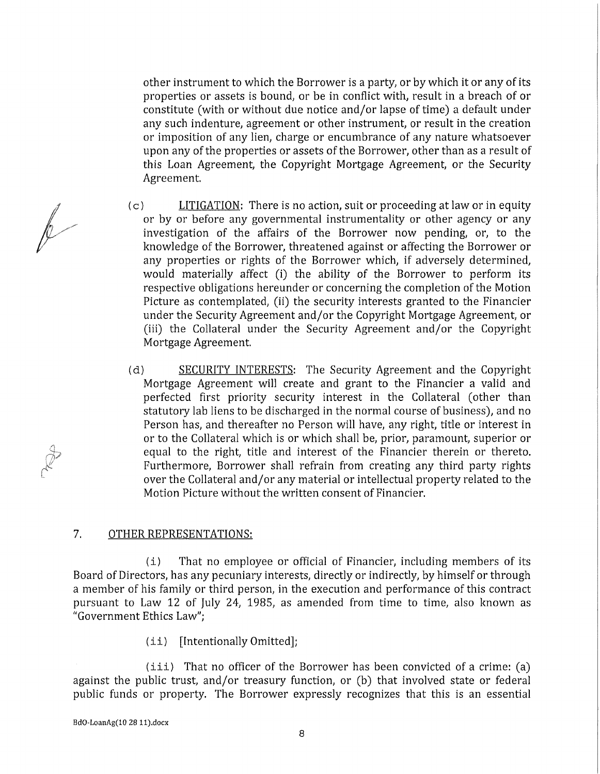other instrument to which the Borrower is a party, or by which it or any of its properties or assets is bound, or be in conflict with, result in a breach of or constitute (with or without due notice and/or lapse of time) a default under any such indenture, agreement or other instrument, or result in the creation or imposition of any lien, charge or encumbrance of any nature whatsoever upon any of the properties or assets of the Borrower, other than as a result of this Loan Agreement, the Copyright Mortgage Agreement, or the Security Agreement.

- (c) LITIGATION: There is no action, suit or proceeding at law or in equity or by or before any governmental instrumentality or other agency or any investigation of the affairs of the Borrower now pending, or, to the knowledge of the Borrower, threatened against or affecting the Borrower or any properties or rights of the Borrower which, if adversely determined, would materially affect (i) the ability of the Borrower to perform its respective obligations hereunder or concerning the completion of the Motion Picture as contemplated, (ii) the security interests granted to the Financier under the Security Agreement and/or the Copyright Mortgage Agreement, or (iii) the Collateral under the Security Agreement and/or the Copyright Mortgage Agreement.
- (d) SECURITY INTERESTS: The Security Agreement and the Copyright Mortgage Agreement will create and grant to the Financier a valid and perfected first priority security interest in the Collateral (other than statutory lab liens to be discharged in the normal course of business), and no Person has, and thereafter no Person will have, any right, title or interest in or to the Collateral which is or which shall be, prior, paramount, superior or equal to the right, title and interest of the Financier therein or thereto. Furthermore, Borrower shall refrain from creating any third party rights over the Collateral and/or any material or intellectual property related to the Motion Picture without the written consent of Financier.

#### 7. OTHER REPRESENTATIONS:

(i) That no employee or official of Financier, including members of its Board of Directors, has any pecuniary interests, directly or indirectly, by himself or through a member of his family or third person, in the execution and performance of this contract pursuant to Law 12 of July 24, 1985, as amended from time to time, also known as "Government Ethics Law";

(ii ) [Intentionally Omitted];

 $(i$ ii) That no officer of the Borrower has been convicted of a crime: (a) against the public trust, and/or treasury function, or (b) that involved state or federal public funds or property. The Borrower expressly recognizes that this is an essential

 $\overline{\mathbb{R}}$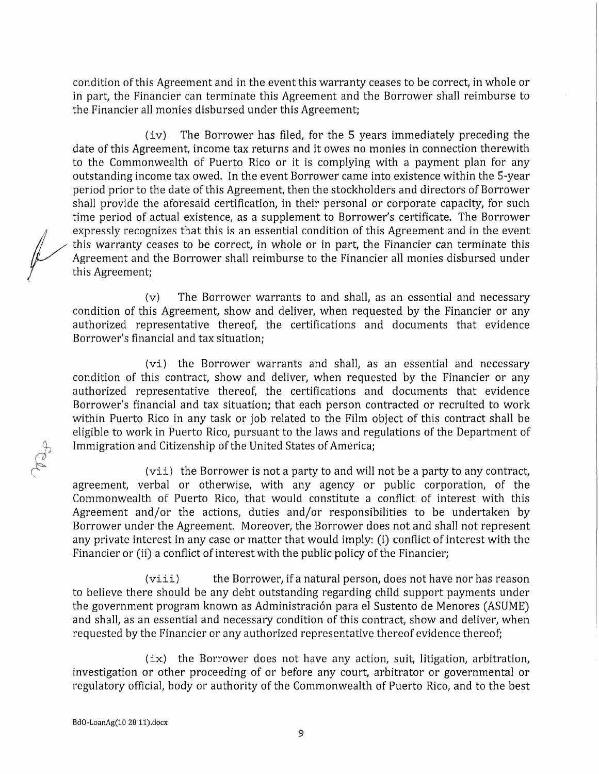condition of this Agreement and in the event this warranty ceases to be correct, in whole or in part, the Financier can termínate this Agreement and the Borrower shall reimburse to the Financier all monies disbursed under this Agreement;

(iv) The Borrower has filed, for the 5 years immediately preceding the date of this Agreement, income tax returns and it owes no monies in connection therewith to the Commonwealth of Puerto Rico or it is complying with a payment plan for any outstanding income tax owed. In the event Borrower came into existence within the 5-year period prior to the date of this Agreement, then the stockholders and directors of Borrower shall provide the aforesaid certification, in their personal or corporate capacity, for such time period of actual existence, as a supplement to Borrower's certifícate. The Borrower expressly recognizes that this is an essential condition of this Agreement and in the event this warranty ceases to be correct, in whole or in part, the Financier can termínate this Agreement and the Borrower shall reimburse to the Financier all monies disbursed under this Agreement;

(v) The Borrower warrants to and shall, as an essential and necessary condition of this Agreement, show and deliver, when requested by the Financier or any authorized representative thereof, the certifications and documents that evidence Borrower's financial and tax situation;

(vi) the Borrower warrants and shall, as an essential and necessary condition of this contract, show and deliver, when requested by the Financier or any authorized representative thereof, the certifications and documents that evidence Borrower's financial and tax situation; that each person contracted or recruited to work within Puerto Rico in any task or job related to the Film object of this contract shall be eligible to work in Puerto Rico, pursuant to the laws and regulations of the Department of Immigration and Citizenship of the United States of America;

(vii) the Borrower is not a party to and will not be a party to any contract, agreement, verbal or otherwise, with any agency or public corporation, of the Commonwealth of Puerto Rico, that would constitute a conflict of interest with this Agreement and/or the actions, duties and/or responsibilities to be undertaken by Borrower under the Agreement. Moreover, the Borrower does not and shall not represent any private interest in any case or matter that would imply: (i) conflict of interest with the Financier or (ii) a conflict of interest with the public policy of the Financier;

 $(viii)$  the Borrower, if a natural person, does not have nor has reason to believe there should be any debt outstanding regarding child support payments under the government program known as Administración para el Sustento de Menores (ASUME) and shall, as an essential and necessary condition of this contract, show and deliver, when requested by the Financier or any authorized representative thereof evidence thereof;

(ix) the Borrower does not have any action, suit, litigation, arbitration, investigation or other proceeding of or before any court, arbitrator or governmental or regulatory official, body or authority of the Commonwealth of Puerto Rico, and to the best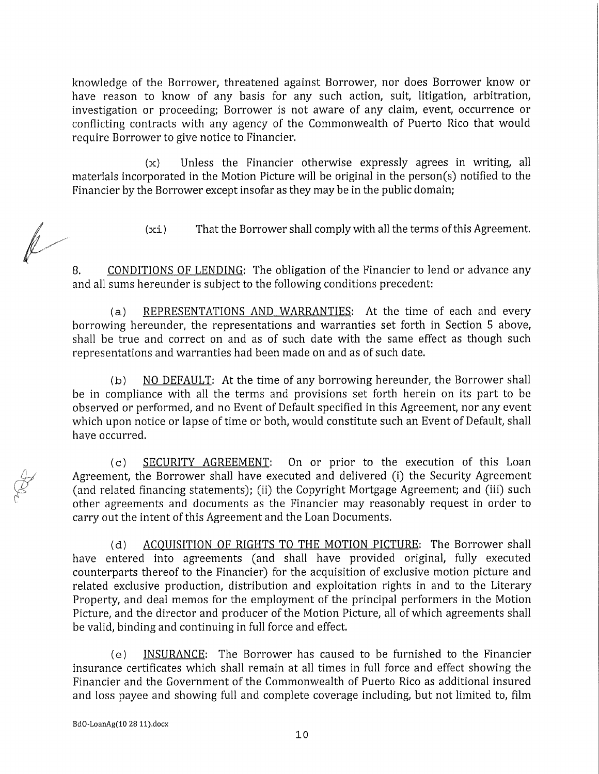knowledge of the Borrower, threatened against Borrower, ñor does Borrower know or have reason to know of any basis for any such action, suit, litigation, arbitration, investigation or proceeding; Borrower is not aware of any claim, event, occurrence or conflicting contracts with any agency of the Commonwealth of Puerto Rico that would require Borrower to give notice to Financier.

(x) Unless the Financier otherwise expressly agrees in writing, all materials incorporated in the Motion Picture will be original in the person(s) notified to the Financier by the Borrower except insofar as they may be in the public domain;

(xi) That the Borrower shall comply with all the terms of this Agreement.

8. CONDITIONS OF LENDING: The obligation of the Financier to lend or advance any and all sums hereunder is subject to the following conditions precedent:

(a) REPRESENTATIONS AND WARRANTIES: At the time of each and every borrowing hereunder, the representations and warranties set forth in Section 5 above, shall be true and correct on and as of such date with the same effect as though such representations and warranties had been made on and as of such date.

(b) NO DEFAULT: At the time of any borrowing hereunder, the Borrower shall be in compliance with all the terms and provisions set forth herein on its part to be observed or performed, and no Event of Default specified in this Agreement, nor any event which upon notice or lapse of time or both, would constitute such an Event of Default, shall have occurred.

(c) SECURITY AGREEMENT: On or prior to the execution of this Loan Agreement, the Borrower shall have executed and delivered (i) the Security Agreement (and related financing statements); (ii) the Copyright Mortgage Agreement; and (iii) such other agreements and documents as the Financier may reasonably request in order to carry out the intent of this Agreement and the Loan Documents.

(d) ACOUISITION OF RIGHTS TO THE MOTION PICTURE: The Borrower shall have entered into agreements (and shall have provided original, fully executed counterparts thereof to the Financier) for the acquisition of exclusive motion picture and related exclusive production, distribution and exploitation rights in and to the Literary Property, and deal memos for the employment of the principal performers in the Motion Picture, and the director and producer of the Motion Picture, all of which agreements shall be valid, binding and continuing in full forcé and effect.

(e) INSURANCE: The Borrower has caused to be furnished to the Financier insurance certificates which shall remain at all times in full forcé and effect showing the Financier and the Government of the Commonwealth of Puerto Rico as additional insured and loss payee and showing full and complete coverage including, but not limited to, film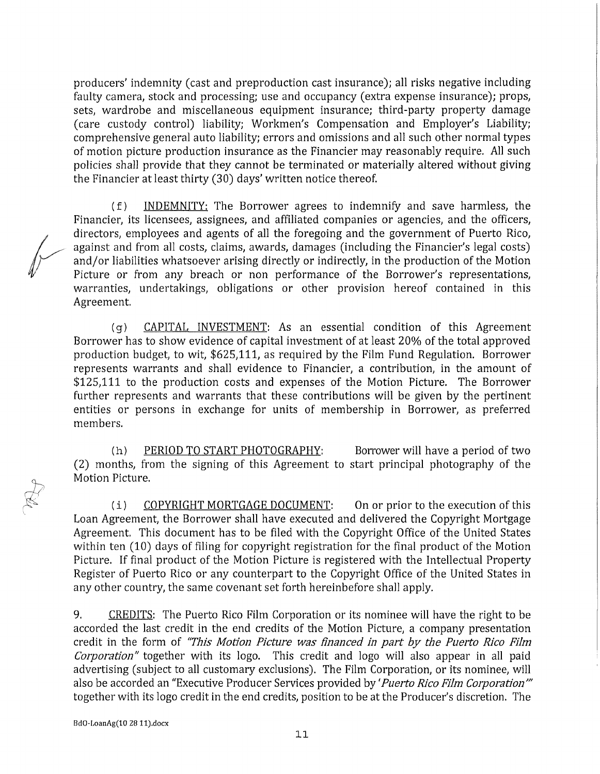producers' indemnity (cast and preproduction cast insurance); all risks negative including faulty camera, stock and processing; use and occupancy (extra expense insurance); props, sets, wardrobe and miscellaneous equipment insurance; third-party property damage (care custody control) liability; Workmen's Compensation and Employer's Liability; comprehensive general auto liability; errors and omissions and all such other normal types of motion picture production insurance as the Financier may reasonably require. All such policies shall provide that they cannot be terminated or materially altered without giving the Financier at least thirty (30) days' written notice thereof.

( f) INDEMNITY: The Borrower agrees to indemnify and save harmless, the Financier, its licensees, assignees, and affiliated companies or agencies, and the officers, directors, employees and agents of all the foregoing and the government of Puerto Rico, against and from all costs, claims, awards, damages (including the Financier's legal costs) and/or liabilities whatsoever arising directly or indirectly, in the production of the Motion Picture or from any breach or non performance of the Borrower's representations, warranties, undertakings, obligations or other provision hereof contained in this Agreement.

(g) CAPITAL INVESTMENT: As an essential condition of this Agreement Borrower has to show evidence of capital investment of at least 20% of the total approved production budget, to wit, \$625,111, as required by the Film Fund Regulation. Borrower represents warrants and shall evidence to Financier, a contribution, in the amount of \$125,111 to the production costs and expenses of the Motion Picture. The Borrower further represents and warrants that these contributions will be given by the pertinent entities or persons in exchange for units of membership in Borrower, as preferred members.

(h) PERIOD TO START PHOTOGRAPHY: Borrower will have a period of two (2) months, from the signing of this Agreement to start principal photography of the Motion Picture.

( i) COPYRIGHT MORTGAGE DOCUMENT: On or prior to the execution of this Loan Agreement, the Borrower shall have executed and delivered the Copyright Mortgage Agreement. This document has to be filed with the Copyright Office of the United States within ten (10) days of filing for copyright registration for the final product of the Motion Picture. If final product of the Motion Picture is registered with the Intellectual Property Register of Puerto Rico or any counterpart to the Copyright Office of the United States in any other country, the same covenant set forth hereinbefore shall apply.

9. CREDITS: The Puerto Rico Film Corporation or its nominee will have the right to be accorded the last credit in the end credits of the Motion Picture, a company presentation credit in the form of *"This Motion Picture was ñnanced in part by the Puerto Rico Film Corporation"* together with its logo. This credit and logo will also appear in all paid advertising (subject to all customary exclusions). The Film Corporation, or its nominee, will also be accorded an "Executive Producer Services provided by *'Puerto Rico Film Corporation'"*  together with its logo credit in the end credits, position to be at the Producer's discretion. The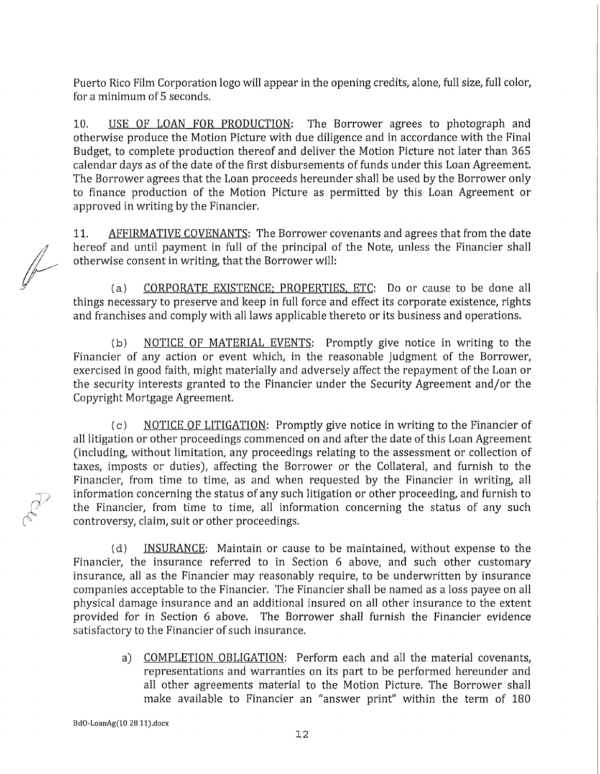Puerto Rico Film Corporation logo will appear in the opening credits, alone, full size, full color, for a mínimum of 5 seconds.

10. USE OF LOAN FOR PRODUCTION: The Borrower agrees to photograph and otherwise produce the Motion Picture with due diligence and in accordance with the Final Budget, to complete production thereof and deliver the Motion Picture not later than 365 calendar days as of the date of the first disbursements of funds under this Loan Agreement. The Borrower agrees that the Loan proceeds hereunder shall be used by the Borrower only to finance production of the Motion Picture as permitted by this Loan Agreement or approved in writing by the Financier.

11. AFFIRMATIVE COVENANTS: The Borrower covenants and agrees that from the date hereof and until payment in full of the principal of the Note, unless the Financier shall otherwise consent in writing, that the Borrower will:

(a) CORPORATE EXISTENCE: PROPERTIES, ETC: Do or cause to be done all things necessary to preserve and keep in full forcé and effect its corporate existence, rights and franchises and comply with all laws applicable thereto or its business and operations.

(b) NOTICE OF MATERIAL EVENTS: Promptly give notice in writing to the Financier of any action or event which, in the reasonable judgment of the Borrower, exercised in good faith, might materially and adversely affect the repayment of the Loan or the security interests granted to the Financier under the Security Agreement and/or the Copyright Mortgage Agreement.

(c) NOTICE OF LITIGATION: Promptly give notice in writing to the Financier of all litigation or other proceedings commenced on and after the date of this Loan Agreement (including, without limitation, any proceedings relating to the assessment or collection of taxes, imposts or duties), affecting the Borrower or the Collateral, and furnish to the Financier, from time to time, as and when requested by the Financier in writing, all information concerning the status of any such litigation or other proceeding, and furnish to the Financier, from time to time, all information concerning the status of any such controversy, claim, suit or other proceedings.

(d) INSURANCE: Maintain or cause to be maintained, without expense to the Financier, the insurance referred to in Section 6 above, and such other customary insurance, all as the Financier may reasonably require, to be underwritten by insurance companies acceptable to the Financier. The Financier shall be named as a loss payee on all physical damage insurance and an additional insured on all other insurance to the extent provided for in Section 6 above. The Borrower shall furnish the Financier evidence satisfactory to the Financier of such insurance.

> a) COMPLETION OBLIGATION: Perform each and all the material covenants, representations and warranties on its part to be performed hereunder and all other agreements material to the Motion Picture. The Borrower shall make available to Financier an "answer print" within the term of 180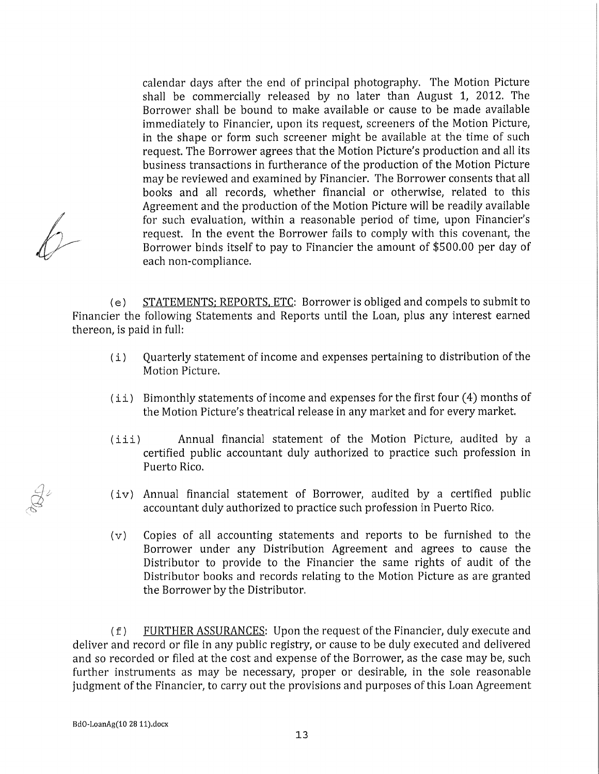calendar days after the end of principal photography. The Motion Picture shall be commercially released by no later than August 1, 2012. The Borrower shall be bound to make available or cause to be made available immediately to Financier, upon its request, screeners of the Motion Picture, in the shape or form such screener might be available at the time of such request. The Borrower agrees that the Motion Picture's production and all its business transactions in furtherance of the production of the Motion Picture may be reviewed and examined by Financier. The Borrower consents that all books and all records, whether financial or otherwise, related to this Agreement and the production of the Motion Picture will be readily available for such evaluation, within a reasonable period of time, upon Financier's request. In the event the Borrower fails to comply with this covenant, the Borrower binds itself to pay to Financier the amount of \$500.00 per day of each non-compliance.

(e) STATEMENTS: REPORTS. ETC: Borrower is obliged and compels to submit to Financier the following Statements and Reports until the Loan, plus any interest earned thereon, is paid in full:

- ( i) Quarterly statement of income and expenses pertaining to distribution of the Motion Picture.
- $(i)$  Bimonthly statements of income and expenses for the first four  $(4)$  months of the Motion Picture's theatrical reléase in any market and for every market.
- (iii ) Annual financial statement of the Motion Picture, audited by a certified public accountant duly authorized to practice such profession in Puerto Rico.
- (iv ) Annual financial statement of Borrower, audited by a certified public accountant duly authorized to practice such profession in Puerto Rico.
- (v) Copies of all accounting statements and reports to be furnished to the Borrower under any Distribution Agreement and agrees to cause the Distributor to provide to the Financier the same rights of audit of the Distributor books and records relating to the Motion Picture as are granted the Borrower by the Distributor.

( f) FURTHER ASSURANCES: Upon the request of the Financier, duly execute and deliver and record or file in any public registry, or cause to be duly executed and delivered and so recorded or filed at the cost and expense of the Borrower, as the case may be, such further instruments as may be necessary, proper or desirable, in the sole reasonable judgment of the Financier, to carry out the provisions and purposes of this Loan Agreement

**BdO-LoanAg(10 28 ll).docx**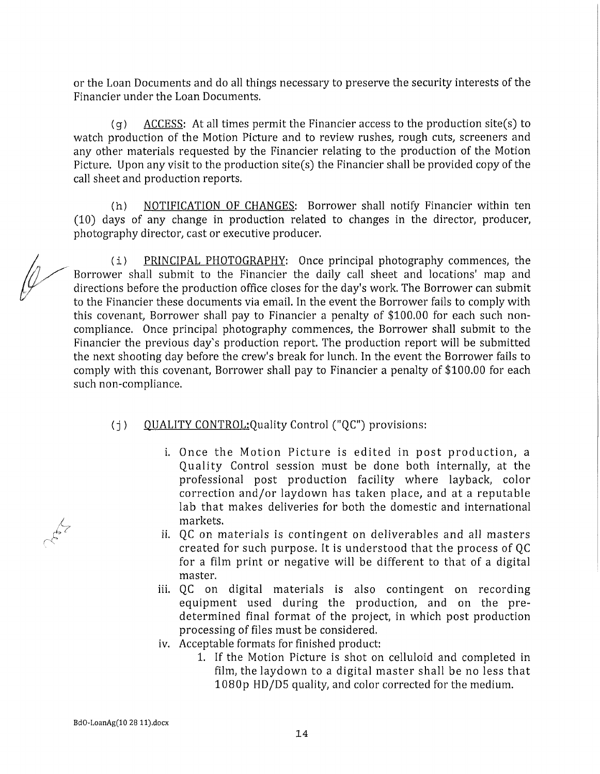or the Loan Documents and do all things necessary to preserve the security interests of the Financier under the Loan Documents.

 $(q)$  ACCESS: At all times permit the Financier access to the production site(s) to watch production of the Motion Picture and to review rushes, rough cuts, screeners and any other materials requested by the Financier relating to the production of the Motion Picture. Upon any visit to the production site(s) the Financier shall be provided copy of the cali sheet and production reports.

(h) NOTIFICATION OF CHANGES: Borrower shall notify Financier within ten (10) days of any change in production related to changes in the director, producer, photography director, cast or executive producer.

(i) PRINCIPAL PHOTOGRAPHY: Once principal photography commences, the Borrower shall submit to the Financier the daily cali sheet and locations' map and directions before the production office closes for the day's work. The Borrower can submit to the Financier these documents via email. In the event the Borrower fails to comply with this covenant, Borrower shall pay to Financier a penalty of \$100.00 for each such noncompliance. Once principal photography commences, the Borrower shall submit to the Financier the previous day's production report. The production report will be submitted the next shooting day before the crew's break for lunch. In the event the Borrower fails to comply with this covenant, Borrower shall pay to Financier a penalty of \$100.00 for each such non-compliance.

### (i) OUALITY CONTROL: Quality Control ("QC") provisions:

- i. Once the Motion Picture is edited in post production, a Quality Control session must be done both internally, at the professional post production facility where layback, color correction and/or laydown has taken place, and at a reputable lab that makes deliveries for both the domestic and international markets.
- ii. QC on materials is contingent on deliverables and all masters created for such purpose. It is understood that the process of QC for a film print or negative will be different to that of a digital master.
- iii. QC on digital materials is also contingent on recording equipment used during the production, and on the predetermined final format of the project, in which post production processing of files must be considered.
- iv. Acceptable formats for finished product:
	- 1. If the Motion Picture is shot on celluloid and completed in film, the laydown to a digital master shall be no less that 1080p HD/D5 quality, and color corrected for the medium.

 $-64$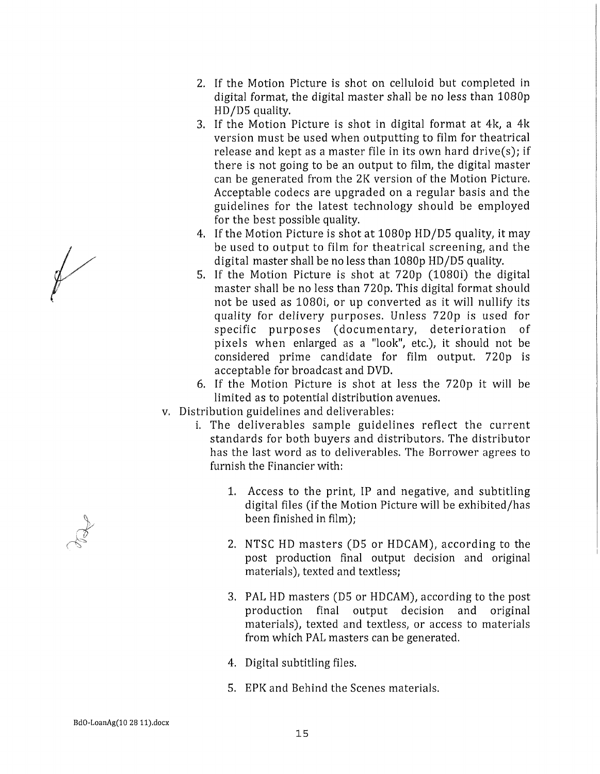- 2. If the Motion Picture is shot on celluloid but completed in digital format, the digital master shall be no less than 1080p HD/D5 quality.
- 3. If the Motion Picture is shot in digital format at 4k, a 4k version must be used when outputting to film for theatrical release and kept as a master file in its own hard drive(s); if there is not going to be an output to film, the digital master can be generated from the 2K version of the Motion Picture. Acceptable codees are upgraded on a regular basis and the guidelines for the latest technology should be employed for the best possible quality.
- 4. If the Motion Picture is shot at 1080p HD/D5 quality, it may be used to output to film for theatrical screening, and the digital master shall be no less than 1080p HD/D5 quality.
- 5. If the Motion Picture is shot at 720p (1080i) the digital master shall be no less than 720p. This digital format should not be used as 1080i, or up converted as it will nullify its quality for delivery purposes. Unless 720p is used for specific purposes (documentary, deterioration of pixels when enlarged as a "look", etc.), it should not be considered prime candidate for film output. 720p is acceptable for broadeast and DVD.
- 6. If the Motion Picture is shot at less the 720p it will be limited as to potential distribution avenues.
- v. Distribution guidelines and deliverables:
	- i. The deliverables sample guidelines reflect the current standards for both buyers and distributors. The distributor has the last word as to deliverables. The Borrower agrees to furnish the Financier with:
		- 1. Access to the print, IP and negative, and subtitling digital files (if the Motion Picture will be exhibited/has been finished in film);
		- 2. NTSC HD masters (D5 or HDCAM), according to the post production final output decision and original materials), texted and textless;
		- 3. PAL HD masters (D5 or HDCAM), according to the post production final output decision and original materials), texted and textless, or access to materials from which PAL masters can be generated.
		- 4. Digital subtitling files.
		- 5. EPK and Behind the Scenes materials.



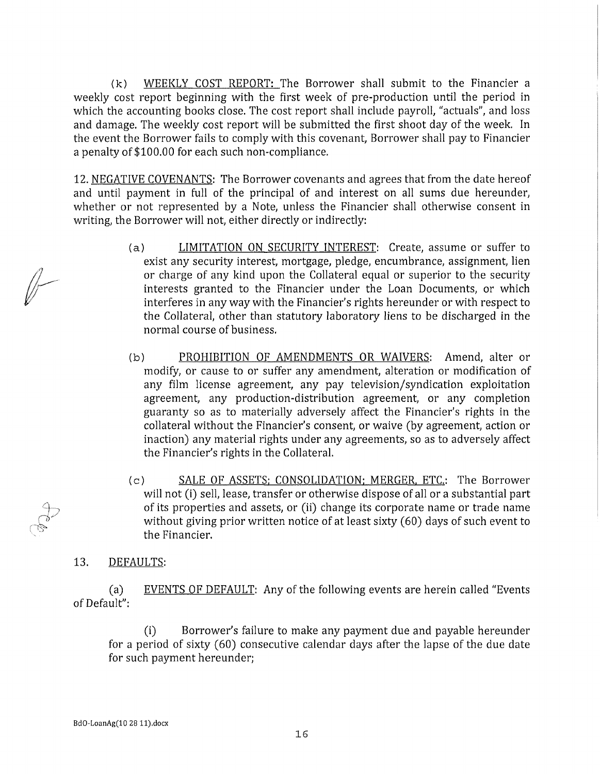(k) WEEKLY COST REPORT: The Borrower shall submit to the Financier a weekly cost report beginning with the first week of pre-production until the period in which the accounting books close. The cost report shall include payroll, "actuals", and loss and damage. The weekly cost report will be submitted the first shoot day of the week. In the event the Borrower fails to comply with this covenant, Borrower shall pay to Financier a penalty of \$100.00 for each such non-compliance.

12. NEGATIVE COVENANTS: The Borrower covenants and agrees that from the date hereof and until payment in full of the principal of and interest on all sums due hereunder, whether or not represented by a Note, unless the Financier shall otherwise consent in writing, the Borrower will not, either directly or indirectly:

- (a) LIMITATION ON SECURITY INTEREST: Create, assume or suffer to exist any security interest, mortgage, pledge, encumbrance, assignment, lien or charge of any kind upon the Collateral equal or superior to the security interests granted to the Financier under the Loan Documents, or which interferes in any way with the Financier's rights hereunder or with respect to the Collateral, other than statutory laboratory liens to be discharged in the normal course of business.
- (b) PROHIBITION OF AMENDMENTS OR WAIVERS: Amend, alter or modify, or cause to or suffer any amendment, alteration or modification of any film license agreement, any pay television/syndication exploitation agreement, any production-distribution agreement, or any completion guaranty so as to materially adversely affect the Financier's rights in the collateral without the Financier's consent, or waive (by agreement, action or inaction) any material rights under any agreements, so as to adversely affect the Financier's rights in the Collateral.
- (c) SALE OF ASSETS: CONSOLIDATION: MERGER. ETC.: The Borrower will not (i) sell, léase, transfer or otherwise dispose of all or a substantial part of its properties and assets, or (ii) change its corporate ñame or trade ñame without giving prior written notice of at least sixty (60) days of such event to the Financier.

### 13. DEFAULTS:

(a) EVENTS OF DEFAULT: Any of the following events are herein called "Events of Default":

(i) Borrower's failure to make any payment due and payable hereunder for a period of sixty (60) consecutive calendar days after the lapse of the due date for such payment hereunder;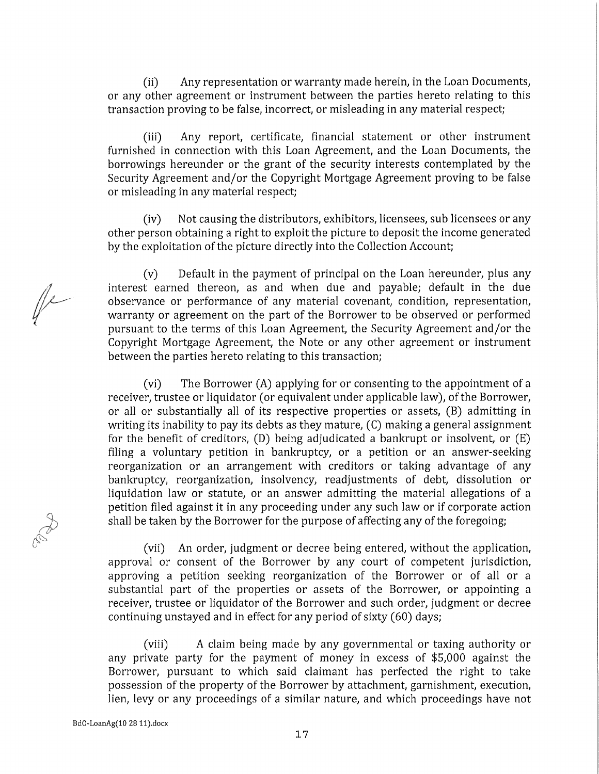(ii) Any representation or warranty made herein, in the Loan Documents, or any other agreement or instrument between the parties hereto relating to this transaction proving to be false, incorrect, or misleading in any material respect;

(iii) Any report, certifícate, financial statement or other instrument furnished in connection with this Loan Agreement, and the Loan Documents, the borrowings hereunder or the grant of the security interests contemplated by the Security Agreement and/or the Copyright Mortgage Agreement proving to be false or misleading in any material respect;

(iv) Not causing the distributors, exhibitors, licensees, sub licensees or any other person obtaining a right to exploit the picture to deposit the income generated by the exploitation of the picture directly into the Collection Account;

(v) Default in the payment of principal on the Loan hereunder, plus any interest earned thereon, as and when due and payable; default in the due observance or performance of any material covenant, condition, representation, warranty or agreement on the part of the Borrower to be observed or performed pursuant to the terms of this Loan Agreement, the Security Agreement and/or the Copyright Mortgage Agreement, the Note or any other agreement or instrument between the parties hereto relating to this transaction;

(vi) The Borrower (A) applying for or consenting to the appointment of a receiver, trustee or liquidator (or equivalent under applicable law), of the Borrower, or all or substantially all of its respective properties or assets, (B) admitting in writing its inability to pay its debts as they mature, (C) making a general assignment for the benefít of creditors, (D) being adjudicated a bankrupt or insolvent, or (E) filing a voluntary petition in bankruptcy, or a petition or an answer-seeking reorganization or an arrangement with creditors or taking advantage of any bankruptcy, reorganization, insolvency, readjustments of debt, dissolution or liquidation law or statute, or an answer admitting the material allegations of a petition filed against it in any proceeding under any such law or if corporate action shall be taken by the Borrower for the purpose of affecting any of the foregoing;

(vii) An order, judgment or decree being entered, without the application, approval or consent of the Borrower by any court of competent jurisdiction, approving a petition seeking reorganization of the Borrower or of all or a substantial part of the properties or assets of the Borrower, or appointing a receiver, trustee or liquidator of the Borrower and such order, judgment or decree continuing unstayed and in effect for any period of sixty (60) days;

(viii) A claim being made by any governmental or taxing authority or any prívate party for the payment of money in excess of \$5,000 against the Borrower, pursuant to which said claimant has perfected the right to take possession of the property of the Borrower by attachment, garnishment, execution, lien, levy or any proceedings of a similar nature, and which proceedings have not

 $\mathbb{R}^2$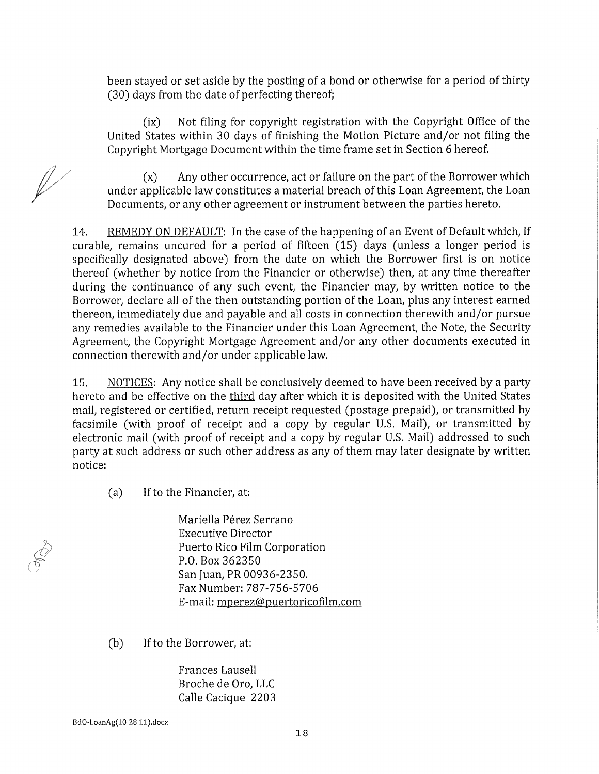been stayed or set aside by the posting of a bond or otherwise for a period of thirty (30) days from the date of perfecting thereof;

(ix) Not filing for copyright registration with the Copyright Office of the United States within 30 days of finishing the Motion Picture and/or not filing the Copyright Mortgage Document within the time frame set in Section 6 hereof.

(x) Any other occurrence, act or failure on the part of the Borrower which under applicable law constitutes a material breach of this Loan Agreement, the Loan Documents, or any other agreement or instrument between the parties hereto.

14. REMEDY ON DEFAULT: In the case of the happening of an Event of Default which, if curable, remains uncured for a period of fifteen (15) days (unless a longer period is specifically designated above) from the date on which the Borrower first is on notice thereof (whether by notice from the Financier or otherwise) then, at any time thereafter during the continuance of any such event, the Financier may, by written notice to the Borrower, declare all of the then outstanding portion of the Loan, plus any interest earned thereon, immediately due and payable and all costs in connection therewith and/or pursue any remedies available to the Financier under this Loan Agreement, the Note, the Security Agreement, the Copyright Mortgage Agreement and/or any other documents executed in connection therewith and/or under applicable law.

15, NOTICES: Any notice shall be conclusively deemed to have been received by a party hereto and be effective on the third day after which it is deposited with the United States mail, registered or certified, return receipt requested (postage prepaid), or transmitted by facsímile (with proof of receipt and a copy by regular U.S. Mail), or transmitted by electronic mail (with proof of receipt and a copy by regular U.S. Mail) addressed to such party at such address or such other address as any of them may later desígnate by written notice:

(a) If to the Financier, at:

Mariella Pérez Serrano Executive Director Puerto Rico Film Corporation P.O. Box 362350 San Juan, PR 00936-2350. Fax Number: 787-756-5706 E-mail: mperez@puertoricofilm.com

(b) If to the Borrower, at:

Frances Lausell Broche de Oro, LLC Calle Cacique 2203

**BdO-LoanAg(10 28 ll).docx**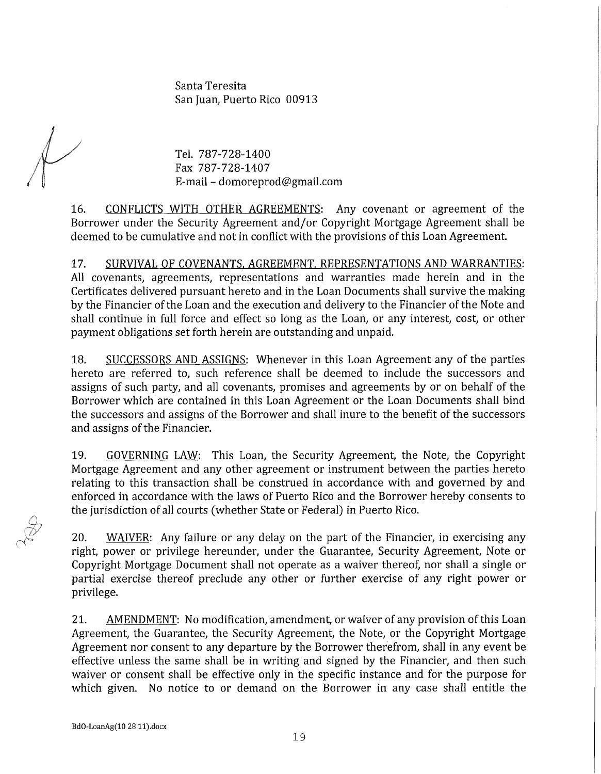Santa Teresita San Juan, Puerto Rico 00913

Tel. 787-728-1400 Fax 787-728-1407 E-mail - domoreprod@gmail.com

16. CONFLICTS WITH OTHER AGREEMENTS: Any covenant or agreement of the Borrower under the Security Agreement and/or Copyright Mortgage Agreement shall be deemed to be cumulative and not in conflict with the provisions of this Loan Agreement.

17. SURVIVAL OF COVENANTS, AGREEMENT, REPRESENTATIONS AND WARRANTIES: All covenants, agreements, representations and warranties made herein and in the Certificates delivered pursuant hereto and in the Loan Documents shall survive the making by the Financier of the Loan and the execution and delivery to the Financier of the Note and shall continué in full forcé and effect so long as the Loan, or any interest, cost, or other payment obligations set forth herein are outstanding and unpaid.

18. SUCCESSORS AND ASSIGNS: Whenever in this Loan Agreement any of the parties hereto are referred to, such reference shall be deemed to include the successors and assigns of such party, and all covenants, promises and agreements by or on behalf of the Borrower which are contained in this Loan Agreement or the Loan Documents shall bind the successors and assigns of the Borrower and shall inure to the benefit of the successors and assigns of the Financier.

19. GOVERNING LAW: This Loan, the Security Agreement, the Note, the Copyright Mortgage Agreement and any other agreement or instrument between the parties hereto relating to this transaction shall be construed in accordance with and governed by and enforced in accordance with the laws of Puerto Rico and the Borrower hereby consents to the jurisdiction of all courts (whether State or Federal) in Puerto Rico.

20. WAIVER: Any failure or any delay on the part of the Financier, in exercising any right, power or privilege hereunder, under the Guarantee, Security Agreement, Note or Copyright Mortgage Document shall not operate as a waiver thereof, nor shall a single or partial exercise thereof preclude any other or further exercise of any right power or privilege.

21. AMENDMENT: No modification, amendment, or waiver of any provision of this Loan Agreement, the Guarantee, the Security Agreement, the Note, or the Copyright Mortgage Agreement nor consent to any departure by the Borrower therefrom, shall in any event be effective unless the same shall be in writing and signed by the Financier, and then such waiver or consent shall be effective only in the specific instance and for the purpose for which given. No notice to or demand on the Borrower in any case shall entitle the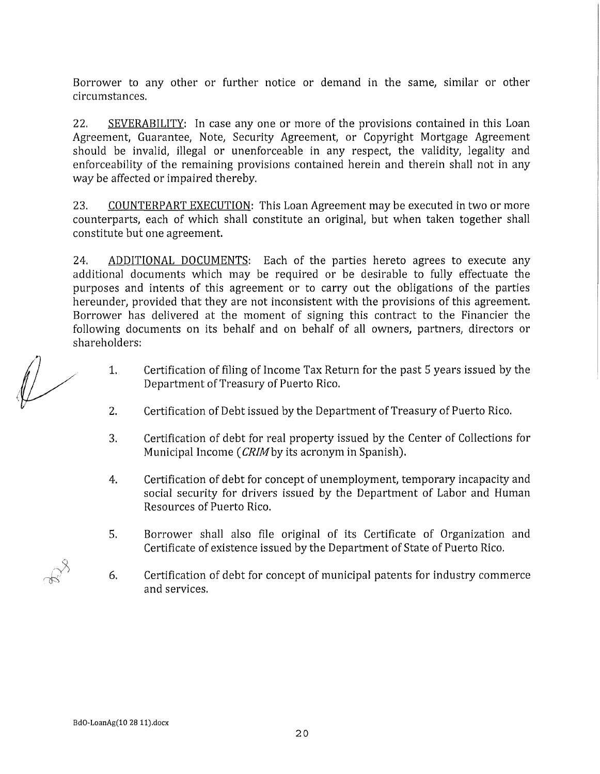Borrower to any other or further notice or demand in the same, similar or other circumstances.

22. SEVERABILITY: In case any one or more of the provisions contained in this Loan Agreement, Guarantee, Note, Security Agreement, or Copyright Mortgage Agreement should be invalid, illegal or unenforceable in any respect, the validity, legality and enforceability of the remaining provisions contained herein and therein shall not in any way be affected or impaired thereby.

23. COUNTERPART EXECUTION: This Loan Agreement may be executed in two or more counterparts, each of which shall constitute an original, but when taken together shall constitute but one agreement.

24. ADDITIONAL DOCUMENTS: Each of the parties hereto agrees to execute any additional documents which may be required or be desirable to fully effectuate the purposes and intents of this agreement or to carry out the obligations of the parties hereunder, provided that they are not inconsistent with the provisions of this agreement. Borrower has delivered at the moment of signing this contract to the Financier the following documents on its behalf and on behalf of all owners, partners, directors or shareholders:

- 1. Certification of filing of Income Tax Return for the past 5 years issued by the Department of Treasury of Puerto Rico.
- 2. Certification of Debt issued by the Department of Treasury of Puerto Rico.
- 3. Certification of debt for real property issued by the Center of Collections for Municipal Income *{CRIMby* its acronym in Spanish).
- 4. Certification of debt for concept of unemployment, temporary incapacity and social security for drivers issued by the Department of Labor and Human Resources of Puerto Rico.
- 5. Borrower shall also file original of its Certifícate of Organization and Certifícate of existence issued by the Department of State of Puerto Rico.
- 6. Certification of debt for concept of municipal patents for industry commerce and services.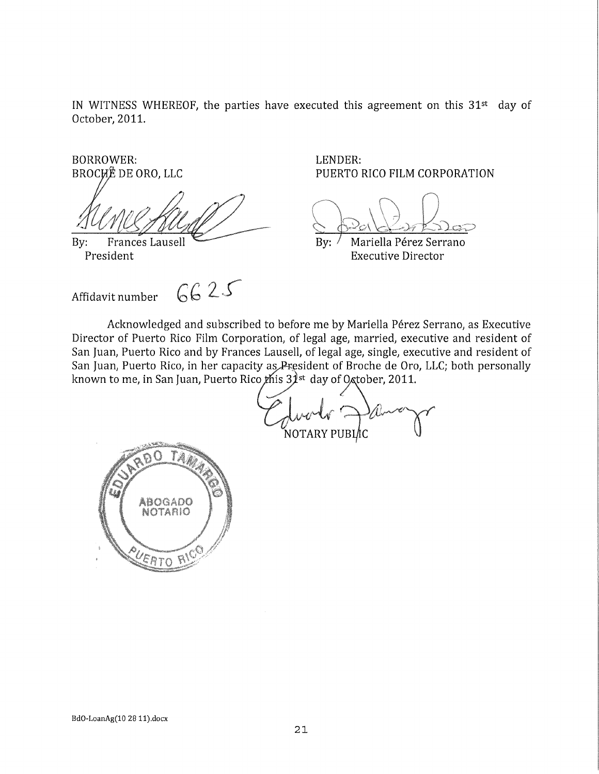IN WITNESS WHEREOF, the parties have executed this agreement on this 31st day of October, **2011.** 

BORROWER: LENDER:

 $6625$ Affidavit number

PUERTO RICO FILM CORPORATION

By: Frances Lausell By: / Mariella Pérez Serrano<br>President By: / Mariella Pérez Serrano **Executive Director** 

Acknowledged and subscribed to before me by Mariella Pérez Serrano, as Executive Director of Puerto Rico Film Corporation, of legal age, married, executive and resident of San Juan, Puerto Rico and by Frances Lausell, of legal age, single, executive and resident of San Juan, Puerto Rico, in her capacity as President of Broche de Oro, LLC; both personally known to me, in San Juan, Puerto Rico *t*his 3 $\hat{\mathcal{X}}$ <sup>st</sup> day of O<sub>⁄</sub>ctober, 2011.

NOTARY PUBL⁄IC

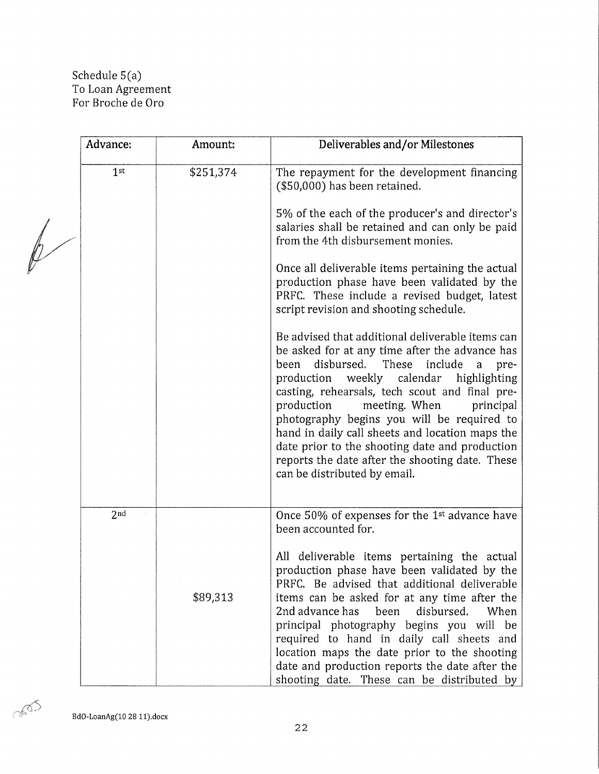### Schedule 5 (a) To Loan Agreement For Broche de Oro

|  | Advance:        | Amount:   | Deliverables and/or Milestones                                                                                                                                                                                                                                                                                                                                                                                                                                                                                                                 |
|--|-----------------|-----------|------------------------------------------------------------------------------------------------------------------------------------------------------------------------------------------------------------------------------------------------------------------------------------------------------------------------------------------------------------------------------------------------------------------------------------------------------------------------------------------------------------------------------------------------|
|  | 1 <sup>st</sup> | \$251,374 | The repayment for the development financing<br>(\$50,000) has been retained.                                                                                                                                                                                                                                                                                                                                                                                                                                                                   |
|  |                 |           | 5% of the each of the producer's and director's<br>salaries shall be retained and can only be paid<br>from the 4th disbursement monies.                                                                                                                                                                                                                                                                                                                                                                                                        |
|  |                 |           | Once all deliverable items pertaining the actual<br>production phase have been validated by the<br>PRFC. These include a revised budget, latest<br>script revision and shooting schedule.                                                                                                                                                                                                                                                                                                                                                      |
|  |                 |           | Be advised that additional deliverable items can<br>be asked for at any time after the advance has<br>disbursed.<br>These<br>been<br>include<br>a<br>pre-<br>weekly calendar<br>highlighting<br>production<br>casting, rehearsals, tech scout and final pre-<br>production<br>principal<br>meeting. When<br>photography begins you will be required to<br>hand in daily call sheets and location maps the<br>date prior to the shooting date and production<br>reports the date after the shooting date. These<br>can be distributed by email. |
|  | 2 <sub>nd</sub> |           | Once 50% of expenses for the 1 <sup>st</sup> advance have<br>been accounted for.<br>All deliverable items pertaining the actual                                                                                                                                                                                                                                                                                                                                                                                                                |
|  |                 | \$89,313  | production phase have been validated by the<br>PRFC. Be advised that additional deliverable<br>items can be asked for at any time after the<br>2nd advance has<br>disbursed.<br>been<br>When<br>principal photography begins you will be<br>required to hand in daily call sheets and<br>location maps the date prior to the shooting<br>date and production reports the date after the<br>shooting date. These can be distributed by                                                                                                          |

**BdO-LoanAg(10 28 ll).docx** 

0000